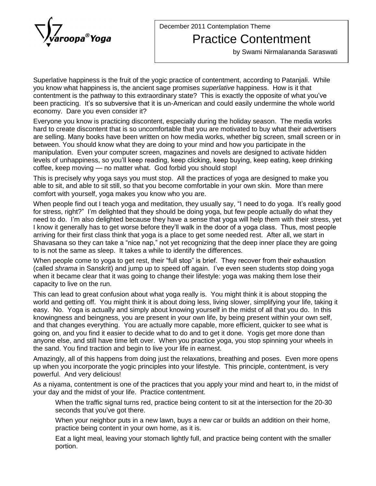

December 2011 Contemplation Theme

## Practice Contentment

by Swami Nirmalananda Saraswati

Superlative happiness is the fruit of the yogic practice of contentment, according to Patanjali. While you know what happiness is, the ancient sage promises *superlative* happiness. How is it that Superlative happiness is the fruit of the yogic practice of contentment, according to Patanjali. While<br>you know what happiness is, the ancient sage promises *superlative* happiness. How is it that<br>contentment is the pathwa contentment is the pathway to this extraordinary state? This is exactly the opposite of what you've been practicing. It's so subversive that it is un-American and could easily undermine the whole world economy. Dare you even consider it?

Everyone you know is practicing discontent, especially during the holiday season. The media works hard to create discontent that is so uncomfortable that you are motivated to buy what their advertisers are selling. Many books have been written on how media works, whether big screen, small screen or in between. You should know what they are doing to your mind and how you participate in the manipulation. Even your computer screen, magazines and novels are designed to activate hidden<br>levels of unhappiness, so you'll keep reading, keep clicking, keep buying, keep eating, keep drinking<br>coffee, keep moving — no m levels of unhappiness, so youíll keep reading, keep clicking, keep buying, keep eating, keep drinking

This is precisely why yoga says you must stop. All the practices of yoga are designed to make you able to sit, and able to sit still, so that you become comfortable in your own skin. More than mere able to sit, and able to sit still, so that you become comfortable in your own skin. More than mere<br>comfort with yourself, yoga makes you know who you are.<br>When people find out I teach yoga and meditation, they usually sa

comfort with yourself, yoga makes you know who you are.<br>When people find out I teach yoga and meditation, they usually say, "I need to do yoga. It's really good<br>for stress, right?" I'm delighted that they should be doing When people find out I teach yoga and meditation, they usually say, "I need to do yoga. It's really good<br>for stress, right?" I'm delighted that they should be doing yoga, but few people actually do what they<br>need to do. I' for stress, right?" I'm delighted that they should be doing yoga, but few people actually do what they<br>need to do. I'm also delighted because they have a sense that yoga will help them with their stress, yet<br>I know it gene arriving for their first class think that yoga is a place to get some needed rest. After all, we start in I know it generally has to get worse before they'll walk in the door of a yoga class. Thus, most people arriving for their first class think that yoga is a place to get some needed rest. After all, we start in Shavasana so to is not the same as sleep. It takes a while to identify the differences. Shavasana so they can take a "nice nap," not yet recognizing that the deep inner place they are going<br>to is not the same as sleep. It takes a while to identify the differences.<br>When people come to yoga to get rest, their

to is not the same as sleep. It takes a while to identify the differences.<br>When people come to yoga to get rest, their "full stop" is brief. They recover from their exhaustion<br>(called *shrama* in Sanskrit) and jump up to when it became clear that it was going to change their lifestyle: yoga was making them lose their capacity to live on the run.

This can lead to great confusion about what yoga really is. You might think it is about stopping the world and getting off. You might think it is about doing less, living slower, simplifying your life, taking it easy. No. Yoga is actually and simply about knowing yourself in the midst of all that you do. In this knowingness and beingness, you are present in your own life, by being present within your own self,<br>and that changes everything. You are actually more capable, more efficient, quicker to see what is going on, and you find it easier to decide what to do and to get it done. Yogis getmore done than anyone else, and still have time left over. When you practice yoga, you stop spinning your wheels in the sand. You find traction and begin to live your life in earnest.

Amazingly, all of this happens from doing just the relaxations, breathing and poses. Even more opens up when you incorporate the yogic principles into your lifestyle. This principle, contentment, is very powerful. And very delicious!

As a niyama, contentment is one of the practices that you apply your mind and heart to, in the midst of your day and the midst of your life. Practice contentment.

When the traffic signal turns red, practice being content to sit at the intersection for the 20-30 y and the midst of your life. Practio<br>When the traffic signal turns red, pı<br>seconds that you've got there.

When your neighbor puts in a new lawn, buys a new car or builds an addition on their home, practice being content in your own home, as it is.

Eat a light meal, leaving your stomach lightly full, and practice being content with the smaller portion.